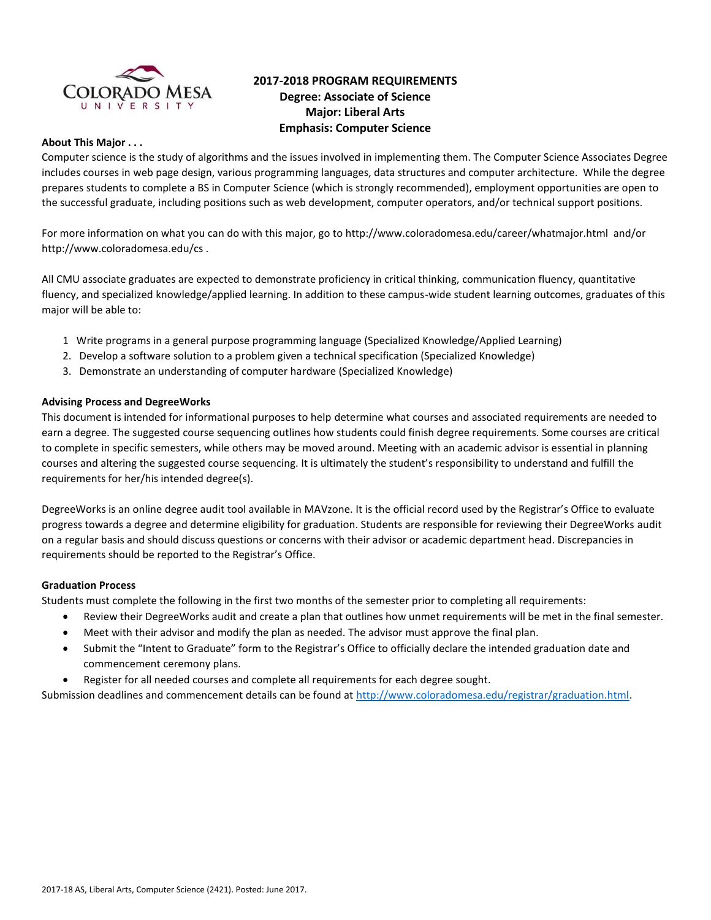

# **2017-2018 PROGRAM REQUIREMENTS Degree: Associate of Science Major: Liberal Arts Emphasis: Computer Science**

# **About This Major . . .**

Computer science is the study of algorithms and the issues involved in implementing them. The Computer Science Associates Degree includes courses in web page design, various programming languages, data structures and computer architecture. While the degree prepares students to complete a BS in Computer Science (which is strongly recommended), employment opportunities are open to the successful graduate, including positions such as web development, computer operators, and/or technical support positions.

For more information on what you can do with this major, go to http://www.coloradomesa.edu/career/whatmajor.html and/or http://www.coloradomesa.edu/cs .

All CMU associate graduates are expected to demonstrate proficiency in critical thinking, communication fluency, quantitative fluency, and specialized knowledge/applied learning. In addition to these campus-wide student learning outcomes, graduates of this major will be able to:

- 1 Write programs in a general purpose programming language (Specialized Knowledge/Applied Learning)
- 2. Develop a software solution to a problem given a technical specification (Specialized Knowledge)
- 3. Demonstrate an understanding of computer hardware (Specialized Knowledge)

#### **Advising Process and DegreeWorks**

This document is intended for informational purposes to help determine what courses and associated requirements are needed to earn a degree. The suggested course sequencing outlines how students could finish degree requirements. Some courses are critical to complete in specific semesters, while others may be moved around. Meeting with an academic advisor is essential in planning courses and altering the suggested course sequencing. It is ultimately the student's responsibility to understand and fulfill the requirements for her/his intended degree(s).

DegreeWorks is an online degree audit tool available in MAVzone. It is the official record used by the Registrar's Office to evaluate progress towards a degree and determine eligibility for graduation. Students are responsible for reviewing their DegreeWorks audit on a regular basis and should discuss questions or concerns with their advisor or academic department head. Discrepancies in requirements should be reported to the Registrar's Office.

#### **Graduation Process**

Students must complete the following in the first two months of the semester prior to completing all requirements:

- Review their DegreeWorks audit and create a plan that outlines how unmet requirements will be met in the final semester.
- Meet with their advisor and modify the plan as needed. The advisor must approve the final plan.
- Submit the "Intent to Graduate" form to the Registrar's Office to officially declare the intended graduation date and commencement ceremony plans.
- Register for all needed courses and complete all requirements for each degree sought.

Submission deadlines and commencement details can be found at [http://www.coloradomesa.edu/registrar/graduation.html.](http://www.coloradomesa.edu/registrar/graduation.html)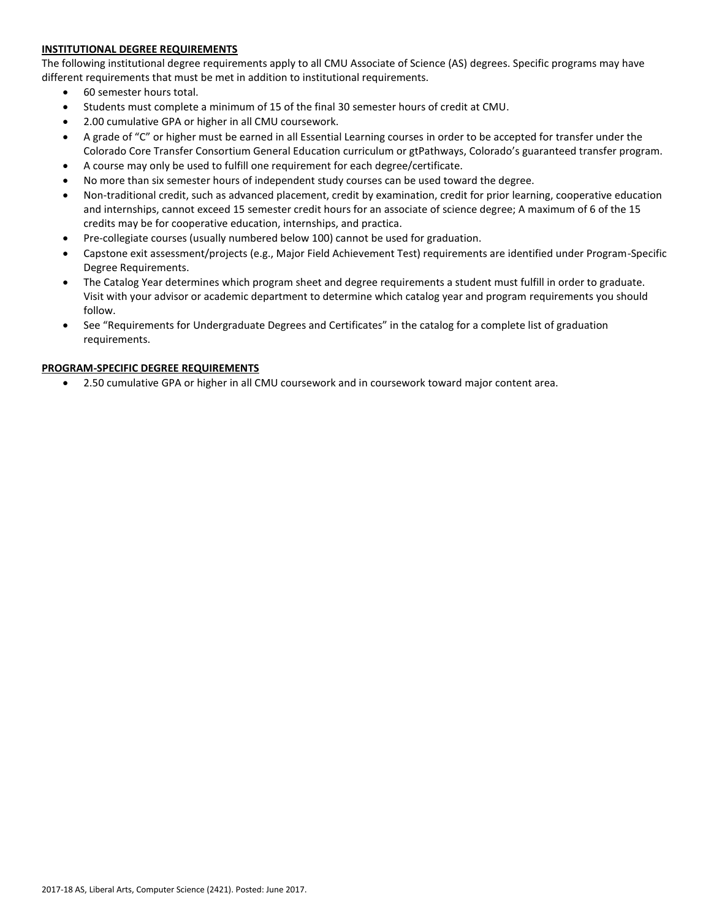# **INSTITUTIONAL DEGREE REQUIREMENTS**

The following institutional degree requirements apply to all CMU Associate of Science (AS) degrees. Specific programs may have different requirements that must be met in addition to institutional requirements.

- 60 semester hours total.
- Students must complete a minimum of 15 of the final 30 semester hours of credit at CMU.
- 2.00 cumulative GPA or higher in all CMU coursework.
- A grade of "C" or higher must be earned in all Essential Learning courses in order to be accepted for transfer under the Colorado Core Transfer Consortium General Education curriculum or gtPathways, Colorado's guaranteed transfer program.
- A course may only be used to fulfill one requirement for each degree/certificate.
- No more than six semester hours of independent study courses can be used toward the degree.
- Non-traditional credit, such as advanced placement, credit by examination, credit for prior learning, cooperative education and internships, cannot exceed 15 semester credit hours for an associate of science degree; A maximum of 6 of the 15 credits may be for cooperative education, internships, and practica.
- Pre-collegiate courses (usually numbered below 100) cannot be used for graduation.
- Capstone exit assessment/projects (e.g., Major Field Achievement Test) requirements are identified under Program-Specific Degree Requirements.
- The Catalog Year determines which program sheet and degree requirements a student must fulfill in order to graduate. Visit with your advisor or academic department to determine which catalog year and program requirements you should follow.
- See "Requirements for Undergraduate Degrees and Certificates" in the catalog for a complete list of graduation requirements.

#### **PROGRAM-SPECIFIC DEGREE REQUIREMENTS**

2.50 cumulative GPA or higher in all CMU coursework and in coursework toward major content area.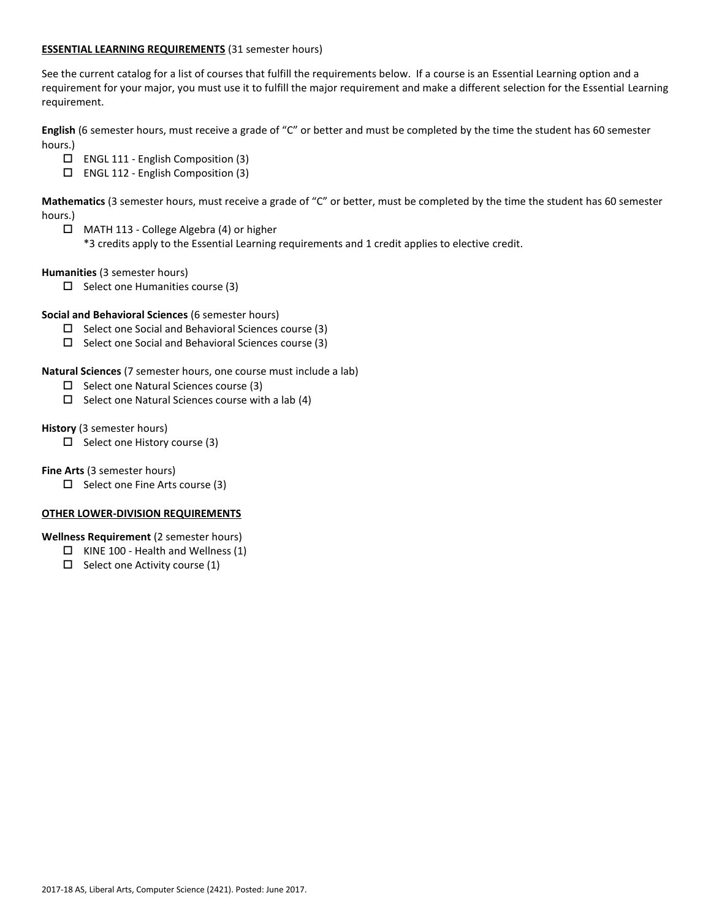## **ESSENTIAL LEARNING REQUIREMENTS** (31 semester hours)

See the current catalog for a list of courses that fulfill the requirements below. If a course is an Essential Learning option and a requirement for your major, you must use it to fulfill the major requirement and make a different selection for the Essential Learning requirement.

**English** (6 semester hours, must receive a grade of "C" or better and must be completed by the time the student has 60 semester hours.)

- ENGL 111 English Composition (3)
- ENGL 112 English Composition (3)

**Mathematics** (3 semester hours, must receive a grade of "C" or better, must be completed by the time the student has 60 semester hours.)

MATH 113 - College Algebra (4) or higher

\*3 credits apply to the Essential Learning requirements and 1 credit applies to elective credit.

**Humanities** (3 semester hours)

 $\square$  Select one Humanities course (3)

# **Social and Behavioral Sciences** (6 semester hours)

- $\square$  Select one Social and Behavioral Sciences course (3)
- $\Box$  Select one Social and Behavioral Sciences course (3)

**Natural Sciences** (7 semester hours, one course must include a lab)

- $\Box$  Select one Natural Sciences course (3)
- $\square$  Select one Natural Sciences course with a lab (4)

**History** (3 semester hours)

 $\Box$  Select one History course (3)

**Fine Arts** (3 semester hours)

 $\Box$  Select one Fine Arts course (3)

# **OTHER LOWER-DIVISION REQUIREMENTS**

**Wellness Requirement** (2 semester hours)

- $\Box$  KINE 100 Health and Wellness (1)
- $\Box$  Select one Activity course (1)